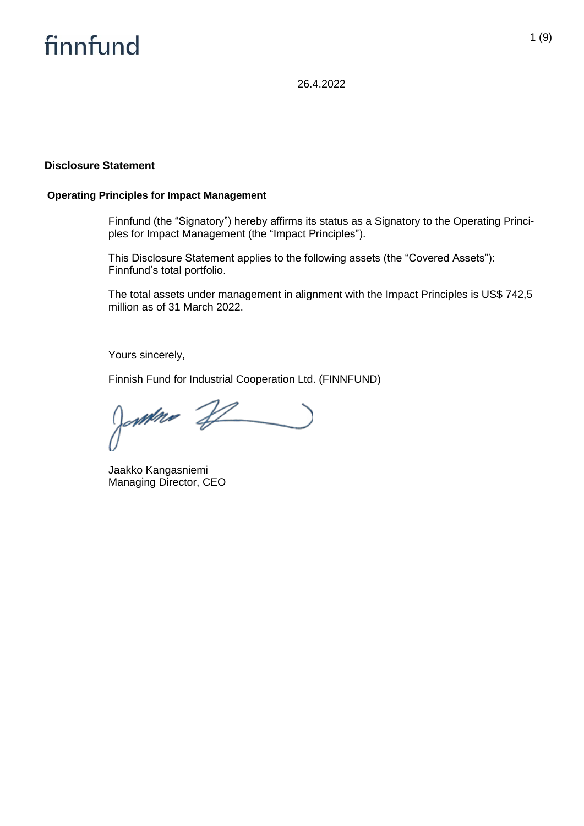26.4.2022

#### **Disclosure Statement**

#### **Operating Principles for Impact Management**

Finnfund (the "Signatory") hereby affirms its status as a Signatory to the Operating Principles for Impact Management (the "Impact Principles").

This Disclosure Statement applies to the following assets (the "Covered Assets"): Finnfund's total portfolio.

The total assets under management in alignment with the Impact Principles is US\$ 742,5 million as of 31 March 2022.

Yours sincerely,

Finnish Fund for Industrial Cooperation Ltd. (FINNFUND)

Jamme 22  $\overline{\phantom{a}}$ 

Jaakko Kangasniemi Managing Director, CEO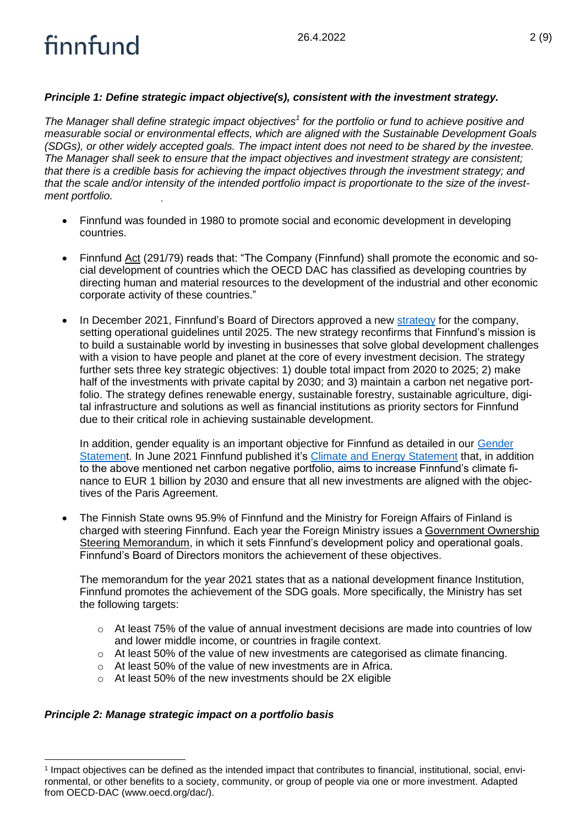## *Principle 1: Define strategic impact objective(s), consistent with the investment strategy.*

*The Manager shall define strategic impact objectives<sup>1</sup> for the portfolio or fund to achieve positive and measurable social or environmental effects, which are aligned with the Sustainable Development Goals (SDGs), or other widely accepted goals. The impact intent does not need to be shared by the investee. The Manager shall seek to ensure that the impact objectives and investment strategy are consistent; that there is a credible basis for achieving the impact objectives through the investment strategy; and that the scale and/or intensity of the intended portfolio impact is proportionate to the size of the investment portfolio.*

- Finnfund was founded in 1980 to promote social and economic development in developing countries.
- Finnfund Act (291/79) reads that: "The Company (Finnfund) shall promote the economic and social development of countries which the OECD DAC has classified as developing countries by directing human and material resources to the development of the industrial and other economic corporate activity of these countries."
- In December 2021, Finnfund's Board of Directors approved a new [strategy](https://www.finnfund.fi/en/finnfund/strategy/) for the company, setting operational guidelines until 2025. The new strategy reconfirms that Finnfund's mission is to build a sustainable world by investing in businesses that solve global development challenges with a vision to have people and planet at the core of every investment decision. The strategy further sets three key strategic objectives: 1) double total impact from 2020 to 2025; 2) make half of the investments with private capital by 2030; and 3) maintain a carbon net negative portfolio. The strategy defines renewable energy, sustainable forestry, sustainable agriculture, digital infrastructure and solutions as well as financial institutions as priority sectors for Finnfund due to their critical role in achieving sustainable development.

In addition, gender equality is an important objective for Finnfund as detailed in our [Gender](https://www.finnfund.fi/wp-content/uploads/2019/04/Finnfund_Gender-Statement_29-March-2019.pdf)  [Statement](https://www.finnfund.fi/wp-content/uploads/2019/04/Finnfund_Gender-Statement_29-March-2019.pdf). In June 2021 Finnfund published it's [Climate and Energy Statement](https://www.finnfund.fi/en/news/new-statement-on-climate-and-energy-will-guide-finnfunds-climate-actions/) that, in addition to the above mentioned net carbon negative portfolio, aims to increase Finnfund's climate finance to EUR 1 billion by 2030 and ensure that all new investments are aligned with the objectives of the Paris Agreement.

• The Finnish State owns 95.9% of Finnfund and the Ministry for Foreign Affairs of Finland is charged with steering Finnfund. Each year the Foreign Ministry issues a Government Ownership Steering Memorandum, in which it sets Finnfund's development policy and operational goals. Finnfund's Board of Directors monitors the achievement of these objectives.

The memorandum for the year 2021 states that as a national development finance Institution, Finnfund promotes the achievement of the SDG goals. More specifically, the Ministry has set the following targets:

- $\circ$  At least 75% of the value of annual investment decisions are made into countries of low and lower middle income, or countries in fragile context.
- $\circ$  At least 50% of the value of new investments are categorised as climate financing.
- o At least 50% of the value of new investments are in Africa.
- o At least 50% of the new investments should be 2X eligible

### *Principle 2: Manage strategic impact on a portfolio basis*

<sup>1</sup> Impact objectives can be defined as the intended impact that contributes to financial, institutional, social, environmental, or other benefits to a society, community, or group of people via one or more investment. Adapted from OECD-DAC (www.oecd.org/dac/).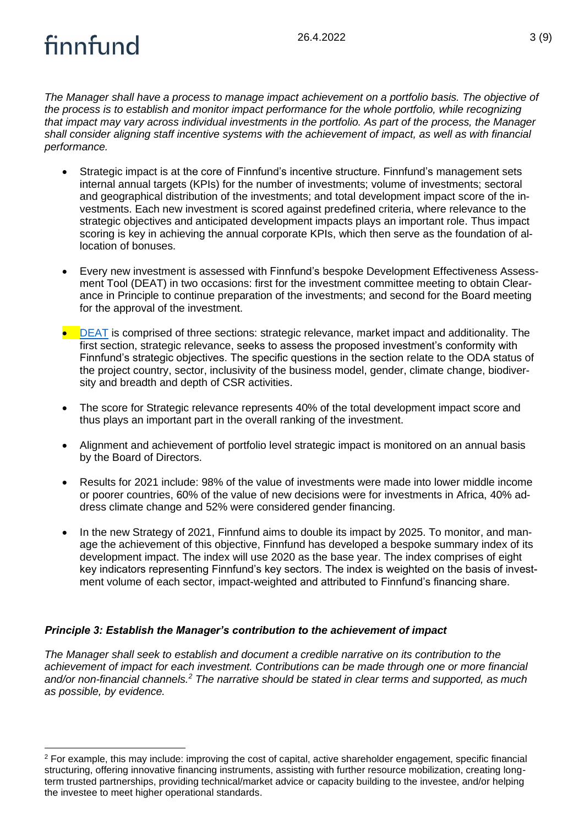*The Manager shall have a process to manage impact achievement on a portfolio basis. The objective of the process is to establish and monitor impact performance for the whole portfolio, while recognizing that impact may vary across individual investments in the portfolio. As part of the process, the Manager shall consider aligning staff incentive systems with the achievement of impact, as well as with financial performance.*

- Strategic impact is at the core of Finnfund's incentive structure. Finnfund's management sets internal annual targets (KPIs) for the number of investments; volume of investments; sectoral and geographical distribution of the investments; and total development impact score of the investments. Each new investment is scored against predefined criteria, where relevance to the strategic objectives and anticipated development impacts plays an important role. Thus impact scoring is key in achieving the annual corporate KPIs, which then serve as the foundation of allocation of bonuses.
- Every new investment is assessed with Finnfund's bespoke Development Effectiveness Assessment Tool (DEAT) in two occasions: first for the investment committee meeting to obtain Clearance in Principle to continue preparation of the investments; and second for the Board meeting for the approval of the investment.
- [DEAT](https://www.finnfund.fi/wp-content/uploads/2019/04/DEAT-_-Scoring-and-definitions.pdf) is comprised of three sections: strategic relevance, market impact and additionality. The first section, strategic relevance, seeks to assess the proposed investment's conformity with Finnfund's strategic objectives. The specific questions in the section relate to the ODA status of the project country, sector, inclusivity of the business model, gender, climate change, biodiversity and breadth and depth of CSR activities.
- The score for Strategic relevance represents 40% of the total development impact score and thus plays an important part in the overall ranking of the investment.
- Alignment and achievement of portfolio level strategic impact is monitored on an annual basis by the Board of Directors.
- Results for 2021 include: 98% of the value of investments were made into lower middle income or poorer countries, 60% of the value of new decisions were for investments in Africa, 40% address climate change and 52% were considered gender financing.
- In the new Strategy of 2021, Finnfund aims to double its impact by 2025. To monitor, and manage the achievement of this objective, Finnfund has developed a bespoke summary index of its development impact. The index will use 2020 as the base year. The index comprises of eight key indicators representing Finnfund's key sectors. The index is weighted on the basis of investment volume of each sector, impact-weighted and attributed to Finnfund's financing share.

### *Principle 3: Establish the Manager's contribution to the achievement of impact*

*The Manager shall seek to establish and document a credible narrative on its contribution to the achievement of impact for each investment. Contributions can be made through one or more financial and/or non-financial channels.<sup>2</sup> The narrative should be stated in clear terms and supported, as much as possible, by evidence.*

<sup>2</sup> For example, this may include: improving the cost of capital, active shareholder engagement, specific financial structuring, offering innovative financing instruments, assisting with further resource mobilization, creating longterm trusted partnerships, providing technical/market advice or capacity building to the investee, and/or helping the investee to meet higher operational standards.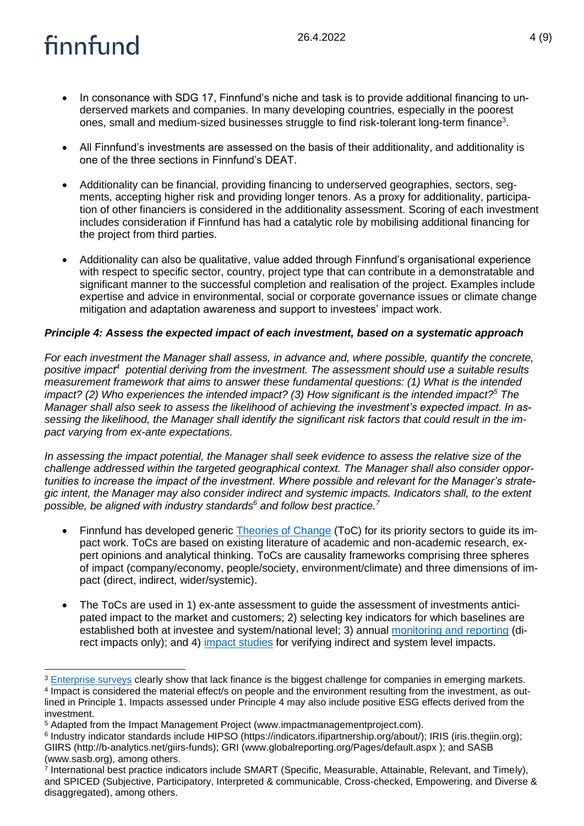- In consonance with SDG 17, Finnfund's niche and task is to provide additional financing to underserved markets and companies. In many developing countries, especially in the poorest ones, small and medium-sized businesses struggle to find risk-tolerant long-term finance<sup>3</sup>.
- All Finnfund's investments are assessed on the basis of their additionality, and additionality is one of the three sections in Finnfund's DEAT.
- Additionality can be financial, providing financing to underserved geographies, sectors, segments, accepting higher risk and providing longer tenors. As a proxy for additionality, participation of other financiers is considered in the additionality assessment. Scoring of each investment includes consideration if Finnfund has had a catalytic role by mobilising additional financing for the project from third parties.
- Additionality can also be qualitative, value added through Finnfund's organisational experience with respect to specific sector, country, project type that can contribute in a demonstratable and significant manner to the successful completion and realisation of the project. Examples include expertise and advice in environmental, social or corporate governance issues or climate change mitigation and adaptation awareness and support to investees' impact work.

### *Principle 4: Assess the expected impact of each investment, based on a systematic approach*

*For each investment the Manager shall assess, in advance and, where possible, quantify the concrete,*  positive impact<sup>4</sup> potential deriving from the investment. The assessment should use a suitable results *measurement framework that aims to answer these fundamental questions: (1) What is the intended impact? (2) Who experiences the intended impact? (3) How significant is the intended impact?<sup>5</sup> The Manager shall also seek to assess the likelihood of achieving the investment's expected impact. In assessing the likelihood, the Manager shall identify the significant risk factors that could result in the impact varying from ex-ante expectations.* 

*In assessing the impact potential, the Manager shall seek evidence to assess the relative size of the challenge addressed within the targeted geographical context. The Manager shall also consider opportunities to increase the impact of the investment. Where possible and relevant for the Manager's strategic intent, the Manager may also consider indirect and systemic impacts. Indicators shall, to the extent possible, be aligned with industry standards<sup>6</sup> and follow best practice.<sup>7</sup>*

- Finnfund has developed generic Theories [of Change](https://www.finnfund.fi/en/investing/sectors/) (ToC) for its priority sectors to guide its impact work. ToCs are based on existing literature of academic and non-academic research, expert opinions and analytical thinking. ToCs are causality frameworks comprising three spheres of impact (company/economy, people/society, environment/climate) and three dimensions of impact (direct, indirect, wider/systemic).
- The ToCs are used in 1) ex-ante assessment to guide the assessment of investments anticipated impact to the market and customers; 2) selecting key indicators for which baselines are established both at investee and system/national level; 3) annual [monitoring and reporting](https://www.finnfund.fi/en/news-and-publications/reports_publications/annual_report_on_development_results/) (direct impacts only); and 4) [impact studies](https://www.finnfund.fi/en/news-and-publications/reports_publications/other_reports_and_publications/impact-study-the-impact-of-forestry-companies-for-the-development-of-forest-industry-in-east-africa/) for verifying indirect and system level impacts.

<sup>&</sup>lt;sup>3</sup> [Enterprise surveys](https://www.enterprisesurveys.org/en/enterprisesurveys) clearly show that lack finance is the biggest challenge for companies in emerging markets. 4 Impact is considered the material effect/s on people and the environment resulting from the investment, as outlined in Principle 1. Impacts assessed under Principle 4 may also include positive ESG effects derived from the investment.

<sup>5</sup> Adapted from the Impact Management Project (www.impactmanagementproject.com).

<sup>6</sup> Industry indicator standards include HIPSO (https://indicators.ifipartnership.org/about/); IRIS (iris.thegiin.org); GIIRS (http://b-analytics.net/giirs-funds); GRI (www.globalreporting.org/Pages/default.aspx ); and SASB (www.sasb.org), among others.

<sup>7</sup> International best practice indicators include SMART (Specific, Measurable, Attainable, Relevant, and Timely), and SPICED (Subjective, Participatory, Interpreted & communicable, Cross-checked, Empowering, and Diverse & disaggregated), among others.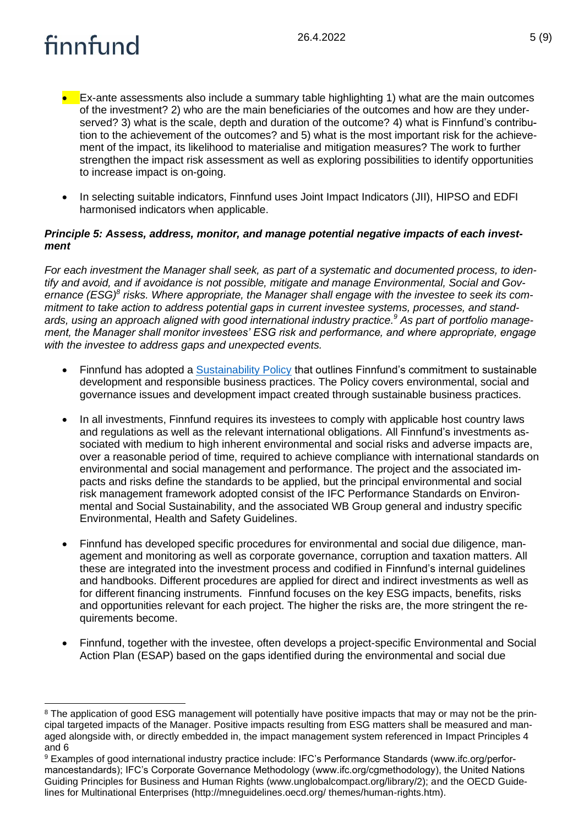- Ex-ante assessments also include a summary table highlighting 1) what are the main outcomes of the investment? 2) who are the main beneficiaries of the outcomes and how are they underserved? 3) what is the scale, depth and duration of the outcome? 4) what is Finnfund's contribution to the achievement of the outcomes? and 5) what is the most important risk for the achievement of the impact, its likelihood to materialise and mitigation measures? The work to further strengthen the impact risk assessment as well as exploring possibilities to identify opportunities to increase impact is on-going.
- In selecting suitable indicators, Finnfund uses Joint Impact Indicators (JII), HIPSO and EDFI harmonised indicators when applicable.

#### *Principle 5: Assess, address, monitor, and manage potential negative impacts of each investment*

*For each investment the Manager shall seek, as part of a systematic and documented process, to identify and avoid, and if avoidance is not possible, mitigate and manage Environmental, Social and Gov*ernance (ESG)<sup>8</sup> risks. Where appropriate, the Manager shall engage with the investee to seek its com*mitment to take action to address potential gaps in current investee systems, processes, and standards, using an approach aligned with good international industry practice. <sup>9</sup> As part of portfolio management, the Manager shall monitor investees' ESG risk and performance, and where appropriate, engage with the investee to address gaps and unexpected events.*

- Finnfund has adopted a [Sustainability Policy](https://www.finnfund.fi/en/impact/corporate-responsibility/sustainability-policy/) that outlines Finnfund's commitment to sustainable development and responsible business practices. The Policy covers environmental, social and governance issues and development impact created through sustainable business practices.
- In all investments, Finnfund requires its investees to comply with applicable host country laws and regulations as well as the relevant international obligations. All Finnfund's investments associated with medium to high inherent environmental and social risks and adverse impacts are, over a reasonable period of time, required to achieve compliance with international standards on environmental and social management and performance. The project and the associated impacts and risks define the standards to be applied, but the principal environmental and social risk management framework adopted consist of the IFC Performance Standards on Environmental and Social Sustainability, and the associated WB Group general and industry specific Environmental, Health and Safety Guidelines.
- Finnfund has developed specific procedures for environmental and social due diligence, management and monitoring as well as corporate governance, corruption and taxation matters. All these are integrated into the investment process and codified in Finnfund's internal guidelines and handbooks. Different procedures are applied for direct and indirect investments as well as for different financing instruments. Finnfund focuses on the key ESG impacts, benefits, risks and opportunities relevant for each project. The higher the risks are, the more stringent the requirements become.
- Finnfund, together with the investee, often develops a project-specific Environmental and Social Action Plan (ESAP) based on the gaps identified during the environmental and social due

<sup>&</sup>lt;sup>8</sup> The application of good ESG management will potentially have positive impacts that may or may not be the principal targeted impacts of the Manager. Positive impacts resulting from ESG matters shall be measured and managed alongside with, or directly embedded in, the impact management system referenced in Impact Principles 4 and 6

<sup>9</sup> Examples of good international industry practice include: IFC's Performance Standards (www.ifc.org/performancestandards); IFC's Corporate Governance Methodology (www.ifc.org/cgmethodology), the United Nations Guiding Principles for Business and Human Rights (www.unglobalcompact.org/library/2); and the OECD Guidelines for Multinational Enterprises (http://mneguidelines.oecd.org/ themes/human-rights.htm).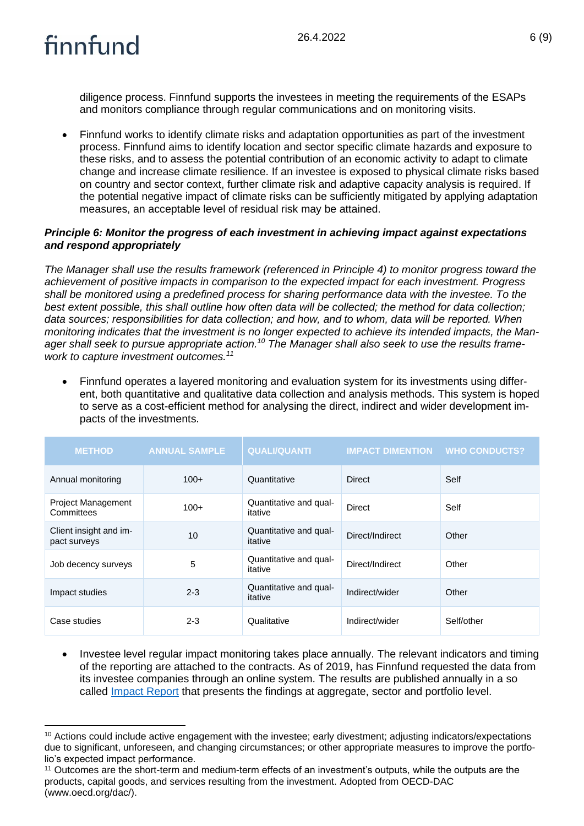diligence process. Finnfund supports the investees in meeting the requirements of the ESAPs and monitors compliance through regular communications and on monitoring visits.

• Finnfund works to identify climate risks and adaptation opportunities as part of the investment process. Finnfund aims to identify location and sector specific climate hazards and exposure to these risks, and to assess the potential contribution of an economic activity to adapt to climate change and increase climate resilience. If an investee is exposed to physical climate risks based on country and sector context, further climate risk and adaptive capacity analysis is required. If the potential negative impact of climate risks can be sufficiently mitigated by applying adaptation measures, an acceptable level of residual risk may be attained.

### *Principle 6: Monitor the progress of each investment in achieving impact against expectations and respond appropriately*

*The Manager shall use the results framework (referenced in Principle 4) to monitor progress toward the achievement of positive impacts in comparison to the expected impact for each investment. Progress shall be monitored using a predefined process for sharing performance data with the investee. To the best extent possible, this shall outline how often data will be collected; the method for data collection; data sources; responsibilities for data collection; and how, and to whom, data will be reported. When monitoring indicates that the investment is no longer expected to achieve its intended impacts, the Manager shall seek to pursue appropriate action.<sup>10</sup> The Manager shall also seek to use the results framework to capture investment outcomes.<sup>11</sup>*

• Finnfund operates a layered monitoring and evaluation system for its investments using different, both quantitative and qualitative data collection and analysis methods. This system is hoped to serve as a cost-efficient method for analysing the direct, indirect and wider development impacts of the investments.

| <b>METHOD</b>                           | <b>ANNUAL SAMPLE</b> | <b>QUALI/QUANTI</b>               | <b>IMPACT DIMENTION WHO CONDUCTS?</b> |            |
|-----------------------------------------|----------------------|-----------------------------------|---------------------------------------|------------|
| Annual monitoring                       | $100+$               | Quantitative                      | <b>Direct</b>                         | Self       |
| <b>Project Management</b><br>Committees | $100+$               | Quantitative and qual-<br>itative | Direct                                | Self       |
| Client insight and im-<br>pact surveys  | 10                   | Quantitative and qual-<br>itative | Direct/Indirect                       | Other      |
| Job decency surveys                     | 5                    | Quantitative and qual-<br>itative | Direct/Indirect                       | Other      |
| Impact studies                          | $2 - 3$              | Quantitative and qual-<br>itative | Indirect/wider                        | Other      |
| Case studies                            | $2 - 3$              | Qualitative                       | Indirect/wider                        | Self/other |

• Investee level regular impact monitoring takes place annually. The relevant indicators and timing of the reporting are attached to the contracts. As of 2019, has Finnfund requested the data from its investee companies through an online system. The results are published annually in a so called **Impact Report** that presents the findings at aggregate, sector and portfolio level.

<sup>&</sup>lt;sup>10</sup> Actions could include active engagement with the investee; early divestment; adjusting indicators/expectations due to significant, unforeseen, and changing circumstances; or other appropriate measures to improve the portfolio's expected impact performance.

<sup>11</sup> Outcomes are the short-term and medium-term effects of an investment's outputs, while the outputs are the products, capital goods, and services resulting from the investment. Adopted from OECD-DAC (www.oecd.org/dac/).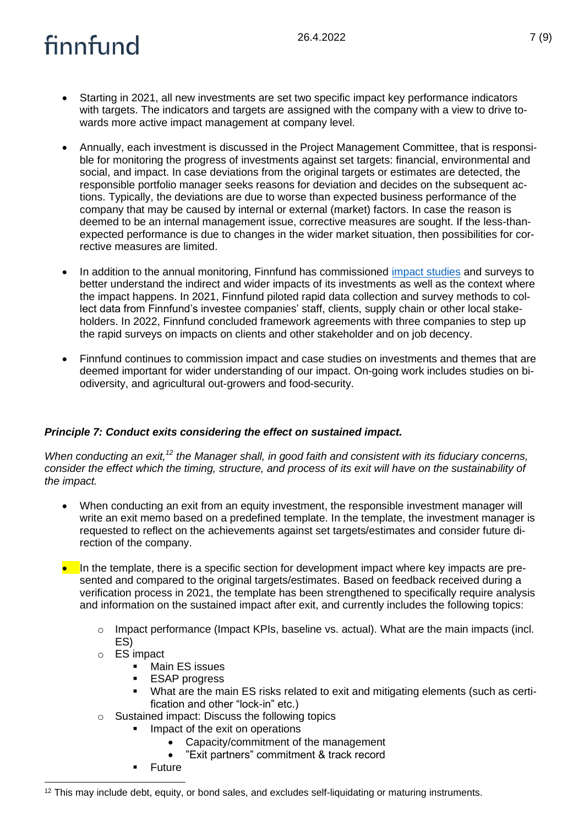- Starting in 2021, all new investments are set two specific impact key performance indicators with targets. The indicators and targets are assigned with the company with a view to drive towards more active impact management at company level.
- Annually, each investment is discussed in the Project Management Committee, that is responsible for monitoring the progress of investments against set targets: financial, environmental and social, and impact. In case deviations from the original targets or estimates are detected, the responsible portfolio manager seeks reasons for deviation and decides on the subsequent actions. Typically, the deviations are due to worse than expected business performance of the company that may be caused by internal or external (market) factors. In case the reason is deemed to be an internal management issue, corrective measures are sought. If the less-thanexpected performance is due to changes in the wider market situation, then possibilities for corrective measures are limited.
- In addition to the annual monitoring, Finnfund has commissioned [impact studies](https://www.finnfund.fi/en/news-and-publications/reports_publications/other_reports_and_publications/) and surveys to better understand the indirect and wider impacts of its investments as well as the context where the impact happens. In 2021, Finnfund piloted rapid data collection and survey methods to collect data from Finnfund's investee companies' staff, clients, supply chain or other local stakeholders. In 2022, Finnfund concluded framework agreements with three companies to step up the rapid surveys on impacts on clients and other stakeholder and on job decency.
- Finnfund continues to commission impact and case studies on investments and themes that are deemed important for wider understanding of our impact. On-going work includes studies on biodiversity, and agricultural out-growers and food-security.

### *Principle 7: Conduct exits considering the effect on sustained impact.*

*When conducting an exit,<sup>12</sup> the Manager shall, in good faith and consistent with its fiduciary concerns, consider the effect which the timing, structure, and process of its exit will have on the sustainability of the impact.*

- When conducting an exit from an equity investment, the responsible investment manager will write an exit memo based on a predefined template. In the template, the investment manager is requested to reflect on the achievements against set targets/estimates and consider future direction of the company.
- In the template, there is a specific section for development impact where key impacts are presented and compared to the original targets/estimates. Based on feedback received during a verification process in 2021, the template has been strengthened to specifically require analysis and information on the sustained impact after exit, and currently includes the following topics:
	- $\circ$  Impact performance (Impact KPIs, baseline vs. actual). What are the main impacts (incl. ES)
	- o ES impact
		- Main ES issues
		- **ESAP** progress
		- What are the main ES risks related to exit and mitigating elements (such as certification and other "lock-in" etc.)
	- o Sustained impact: Discuss the following topics
		- Impact of the exit on operations
			- Capacity/commitment of the management
			- "Exit partners" commitment & track record
		- Future

 $12$  This may include debt, equity, or bond sales, and excludes self-liquidating or maturing instruments.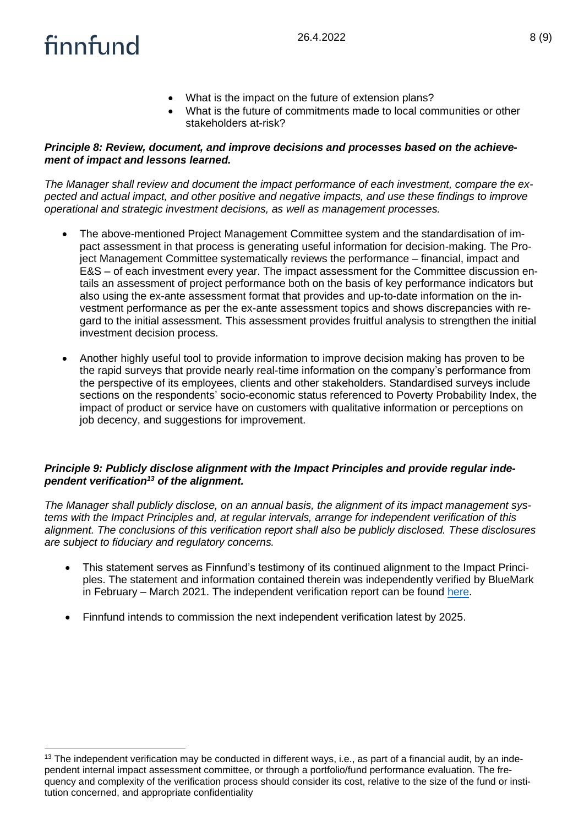- What is the impact on the future of extension plans?
- What is the future of commitments made to local communities or other stakeholders at-risk?

### *Principle 8: Review, document, and improve decisions and processes based on the achievement of impact and lessons learned.*

*The Manager shall review and document the impact performance of each investment, compare the expected and actual impact, and other positive and negative impacts, and use these findings to improve operational and strategic investment decisions, as well as management processes.*

- The above-mentioned Project Management Committee system and the standardisation of impact assessment in that process is generating useful information for decision-making. The Project Management Committee systematically reviews the performance – financial, impact and E&S – of each investment every year. The impact assessment for the Committee discussion entails an assessment of project performance both on the basis of key performance indicators but also using the ex-ante assessment format that provides and up-to-date information on the investment performance as per the ex-ante assessment topics and shows discrepancies with regard to the initial assessment. This assessment provides fruitful analysis to strengthen the initial investment decision process.
- Another highly useful tool to provide information to improve decision making has proven to be the rapid surveys that provide nearly real-time information on the company's performance from the perspective of its employees, clients and other stakeholders. Standardised surveys include sections on the respondents' socio-economic status referenced to Poverty Probability Index, the impact of product or service have on customers with qualitative information or perceptions on job decency, and suggestions for improvement.

### *Principle 9: Publicly disclose alignment with the Impact Principles and provide regular independent verification<sup>13</sup> of the alignment.*

*The Manager shall publicly disclose, on an annual basis, the alignment of its impact management systems with the Impact Principles and, at regular intervals, arrange for independent verification of this alignment. The conclusions of this verification report shall also be publicly disclosed. These disclosures are subject to fiduciary and regulatory concerns.*

- This statement serves as Finnfund's testimony of its continued alignment to the Impact Principles. The statement and information contained therein was independently verified by BlueMark in February – March 2021. The independent verification report can be found [here.](https://www.finnfund.fi/wp-content/uploads/2021/04/BlueMark-Independent-Verification-Report-25-March-2021.pdf)
- Finnfund intends to commission the next independent verification latest by 2025.

<sup>&</sup>lt;sup>13</sup> The independent verification may be conducted in different ways, i.e., as part of a financial audit, by an independent internal impact assessment committee, or through a portfolio/fund performance evaluation. The frequency and complexity of the verification process should consider its cost, relative to the size of the fund or institution concerned, and appropriate confidentiality